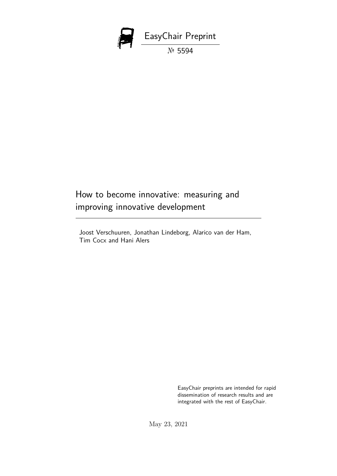

# How to become innovative: measuring and improving innovative development

Joost Verschuuren, Jonathan Lindeborg, Alarico van der Ham, Tim Cocx and Hani Alers

> EasyChair preprints are intended for rapid dissemination of research results and are integrated with the rest of EasyChair.

May 23, 2021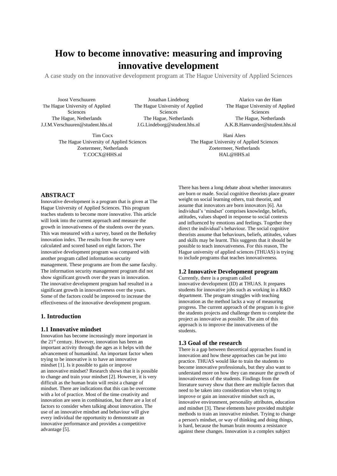# **How to become innovative: measuring and improving innovative development**

A case study on the innovative development program at The Hague University of Applied Sciences

Joost Verschuuren The Hague University of Applied Sciences The Hague, Netherlands J.J.M.Verschuuren@student.hhs.nl

> Tim Cocx The Hague University of Applied Sciences Zoetermeer, Netherlands T.COCX@HHS.nl

Jonathan Lindeborg The Hague University of Applied Sciences The Hague, Netherlands J.G.Lindeborg@student.hhs.nl

Alarico van der Ham The Hague University of Applied Sciences The Hague, Netherlands A.K.B.Hamvander@student.hhs.nl

Hani Alers The Hague University of Applied Sciences Zoetermeer, Netherlands HAL@HHS.nl

# **ABSTRACT**

Innovative development is a program that is given at The Hague University of Applied Sciences. This program teaches students to become more innovative. This article will look into the current approach and measure the growth in innovativeness of the students over the years. This was measured with a survey, based on the Berkeley innovation index. The results from the survey were calculated and scored based on eight factors. The innovative development program was compared with another program called information security management. These programs are from the same faculty. The information security management program did not show significant growth over the years in innovation. The innovative development program had resulted in a significant growth in innovativeness over the years. Some of the factors could be improved to increase the effectiveness of the innovative development program.

#### **1. Introduction**

#### **1.1 Innovative mindset**

Innovation has become increasingly more important in the 21st century. However, innovation has been an important activity through the ages as it helps with the advancement of humankind. An important factor when trying to be innovative is to have an innovative mindset [1]. Is it possible to gain or improve an innovative mindset? Research shows that it is possible to change and train your mindset [2]. However, it is very difficult as the human brain will resist a change of mindset. There are indications that this can be overcome with a lot of practice. Most of the time creativity and innovation are seen in combination, but there are a lot of factors to consider when talking about innovation. The use of an innovative mindset and behaviour will give every individual the opportunity to demonstrate an innovative performance and provides a competitive advantage [5].

There has been a long debate about whether innovators are born or made. Social cognitive theorists place greater weight on social learning others, trait theorist, and assume that innovators are born innovators [6]. An individual's 'mindset' comprises knowledge, beliefs, attitudes, values shaped in response to social contexts and influenced by emotions and feelings. Together they direct the individual's behaviour. The social cognitive theorists assume that behaviours, beliefs, attitudes, values and skills may be learnt. This suggests that it should be possible to teach innovativeness. For this reason, The Hague university of applied sciences (THUAS) is trying to include programs that teaches innovativeness.

# **1.2 Innovative Development program**

Currently, there is a program called innovative development (ID) at THUAS. It prepares students for innovative jobs such as working in a R&D department. The program struggles with teaching innovation as the method lacks a way of measuring progress. The current approach of the program is to give the students projects and challenge them to complete the project as innovative as possible. The aim of this approach is to improve the innovativeness of the students.

#### **1.3 Goal of the research**

There is a gap between theoretical approaches found in innovation and how these approaches can be put into practice. THUAS would like to train the students to become innovative professionals, but they also want to understand more on how they can measure the growth of innovativeness of the students. Findings from the literature survey show that there are multiple factors that need to be taken into consideration when trying to improve or gain an innovative mindset such as, innovative environment, personality attributes, education and mindset [3]. These elements have provided multiple methods to train an innovative mindset. Trying to change a person's mindset, or way of thinking and doing things, is hard, because the human brain mounts a resistance against these changes. Innovation is a complex subject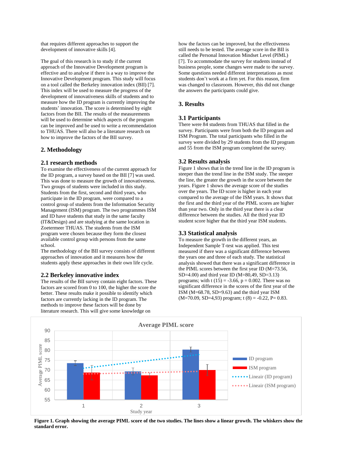that requires different approaches to support the development of innovative skills [4].

The goal of this research is to study if the current approach of the Innovative Development program is effective and to analyse if there is a way to improve the Innovative Development program. This study will focus on a tool called the Berkeley innovation index (BII) [7]. This index will be used to measure the progress of the development of innovativeness skills of students and to measure how the ID program is currently improving the students' innovation. The score is determined by eight factors from the BII. The results of the measurements will be used to determine which aspects of the program can be improved and be used to write a recommendation to THUAS. There will also be a literature research on how to improve the factors of the BII survey.

## **2. Methodology**

## **2.1 research methods**

To examine the effectiveness of the current approach for the ID program, a survey based on the BII [7] was used. This was done to measure the growth of innovativeness. Two groups of students were included in this study. Students from the first, second and third years, who participate in the ID program, were compared to a control group of students from the Information Security Management (ISM) program. The two programmes ISM and ID have students that study in the same faculty (IT&Design) and are studying at the same location in Zoetermeer THUAS. The students from the ISM program were chosen because they form the closest available control group with persons from the same school.

The methodology of the BII survey consists of different approaches of innovation and it measures how the students apply these approaches in their own life cycle.

## **2.2 Berkeley innovative index**

The results of the BII survey contain eight factors. These factors are scored from 0 to 100, the higher the score the better. These results make it possible to identify which factors are currently lacking in the ID program. The methods to improve these factors will be done by literature research. This will give some knowledge on

how the factors can be improved, but the effectiveness still needs to be tested. The average score in the BII is called the Personal Innovation Mindset Level (PIML) [7]. To accommodate the survey for students instead of business people, some changes were made to the survey. Some questions needed different interpretations as most students don't work at a firm yet. For this reason, firm was changed to classroom. However, this did not change the answers the participants could give.

# **3. Results**

#### **3.1 Participants**

There were 84 students from THUAS that filled in the survey. Participants were from both the ID program and ISM Program. The total participants who filled in the survey were divided by 29 students from the ID program and 55 from the ISM program completed the survey.

## **3.2 Results analysis**

Figure 1 shows that in the trend line in the ID program is steeper than the trend line in the ISM study. The steeper the line, the greater the growth in the score between the years. Figure 1 shows the average score of the studies over the years. The ID score is higher in each year compared to the average of the ISM years. It shows that the first and the third year of the PIML scores are higher than year two. Only in the third year there is a clear difference between the studies. All the third year ID student score higher that the third year ISM students.

## **3.3 Statistical analysis**

To measure the growth in the different years, an Independent Sample T-test was applied. This test measured if there was a significant difference between the years one and three of each study. The statistical analysis showed that there was a significant difference in the PIML scores between the first year ID (M=73.56, SD=4.00) and third year ID (M=80,49, SD=3.13) programs; with t  $(15) = -3.66$ ,  $p = 0.002$ . There was no significant difference in the scores of the first year of the ISM (M=68.78, SD=9.63) and the third year ISM  $(M=70.09, SD=4.93)$  program; t  $(8) = -0.22, P= 0.83$ .



Figure 1. Graph showing the average PIML score of the two studies. The lines show a linear growth. The whiskers show the **standard error.**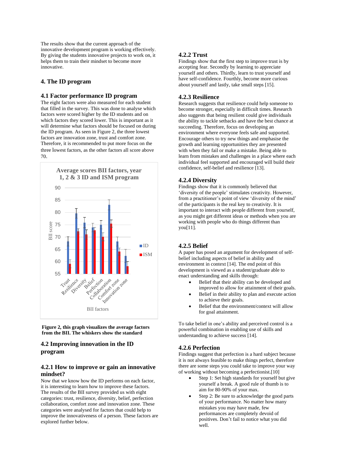The results show that the current approach of the innovative development program is working effectively. By giving the students innovative projects to work on, it helps them to train their mindset to become more innovative.

# **4. The ID program**

#### **4.1 Factor performance ID program**

The eight factors were also measured for each student that filled in the survey. This was done to analyse which factors were scored higher by the ID students and on which factors they scored lower. This is important as it will determine what factors should be focused on during the ID program. As seen in Figure 2, the three lowest factors are innovation zone, trust and comfort zone. Therefore, it is recommended to put more focus on the three lowest factors, as the other factors all score above 70.



**Figure 2, this graph visualizes the average factors from the BII. The whiskers show the standard**

# **4.2 Improving innovation in the ID program**

# **4.2.1 How to improve or gain an innovative mindset?**

Now that we know how the ID performs on each factor, it is interesting to learn how to improve these factors. The results of the BII survey provided us with eight categories: trust, resilience, diversity, belief, perfection collaboration, comfort zone and innovation zone. These categories were analysed for factors that could help to improve the innovativeness of a person. These factors are explored further below.

# **4.2.2 Trust**

Findings show that the first step to improve trust is by accepting fear. Secondly by learning to appreciate yourself and others. Thirdly, learn to trust yourself and have self-confidence. Fourthly, become more curious about yourself and lastly, take small steps [15].

#### **4.2.3 Resilience**

Research suggests that resilience could help someone to become stronger, especially in difficult times. Research also suggests that being resilient could give individuals the ability to tackle setbacks and have the best chance at succeeding. Therefore, focus on developing an environment where everyone feels safe and supported. Encourage others to try new things and emphasise the growth and learning opportunities they are presented with when they fail or make a mistake. Being able to learn from mistakes and challenges in a place where each individual feel supported and encouraged will build their confidence, self-belief and resilience [13].

#### **4.2.4 Diversity**

Findings show that it is commonly believed that 'diversity of the people' stimulates creativity. However, from a practitioner's point of view 'diversity of the mind' of the participants is the real key to creativity. It is important to interact with people different from yourself, as you might get different ideas or methods when you are working with people who do things different than you[11].

# **4.2.5 Belief**

A paper has posed an argument for development of selfbelief including aspects of belief in ability and environment in context [14]. The end point of this development is viewed as a student/graduate able to enact understanding and skills through:

Belief that their ability can be developed and improved to allow for attainment of their goals.

- Belief in their ability to plan and execute action to achieve their goals.
- Belief that the environment/context will allow for goal attainment.

To take belief in one's ability and perceived control is a powerful combination in enabling use of skills and understanding to achieve success [14].

#### **4.2.6 Perfection**

Findings suggest that perfection is a hard subject because it is not always feasible to make things perfect, therefore there are some steps you could take to improve your way of working without becoming a perfectionist.[10]

- Step 1: Set high standards for yourself but give yourself a break. A good rule of thumb is to aim for 80-90% of your max.
- Step 2: Be sure to acknowledge the good parts of your performance. No matter how many mistakes you may have made, few performances are completely devoid of positives. Don't fail to notice what you did well.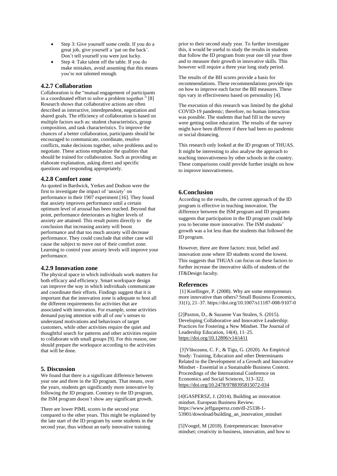- Step 3: Give yourself some credit. If you do a great job, give yourself a 'pat on the back'. Don't tell yourself you were just lucky.
- Step 4: Take talent off the table. If you do make mistakes, avoid assuming that this means you're not talented enough.

#### **4.2.7 Collaboration**

Collaboration is the "mutual engagement of participants in a coordinated effort to solve a problem together." [8] Research shows that collaborative actions are often described as interactive, interdependent, negotiation and shared goals. The efficiency of collaboration is based on multiple factors such as: student characteristics, group composition, and task characteristics. To improve the chances of a better collaboration, participants should be encouraged to communicate, coordinate, resolve conflicts, make decisions together, solve problems and to negotiate. These actions emphasize the qualities that should be trained for collaboration. Such as providing an elaborate explanation, asking direct and specific questions and responding appropriately.

#### **4.2.8 Comfort zone**

As quoted in Bardwick, Yerkes and Dodson were the first to investigate the impact of 'anxiety' on performance in their 1907 experiment [16]. They found that anxiety improves performance until a certain optimum level of arousal has been reached. Beyond that point, performance deteriorates as higher levels of anxiety are attained. This result points directly to the conclusion that increasing anxiety will boost performance and that too much anxiety will decrease performance. They could conclude that either case will cause the subject to move out of their comfort zone. Learning to control your anxiety levels will improve your performance.

#### **4.2.9 Innovation zone**

The physical space in which individuals work matters for both efficacy and efficiency. Smart workspace design can improve the way in which individuals communicate and coordinate their efforts. Findings suggest that it is important that the innovation zone is adequate to host all the different requirements for activities that are associated with innovation. For example, some activities demand paying attention with all of one's senses to understand motivations and behaviours of target customers, while other activities require the quiet and thoughtful search for patterns and other activities require to collaborate with small groups [9]. For this reason, one should prepare the workspace according to the activities that will be done.

#### **5. Discussion**

We found that there is a significant difference between year one and three in the ID program. That means, over the years, students get significantly more innovative by following the ID program. Contrary to the ID program, the ISM program doesn't show any significant growth.

There are lower PIML scores in the second year compared to the other years. This might be explained by the late start of the ID program by some students in the second year, thus without an early innovative training

prior to their second study year. To further investigate this, it would be useful to study the results in students that follow the ID program from year one till year three and to measure their growth in innovative skills. This however will require a three year long study period.

The results of the BII scores provide a basis for recommendations. These recommendations provide tips on how to improve each factor the BII measures. These tips vary in effectiveness based on personality [4].

The execution of this research was limited by the global COVID-19 pandemic; therefore, no human interaction was possible. The students that had fill in the survey were getting online education. The results of the survey might have been different if there had been no pandemic or social distancing.

This research only looked at the ID program of THUAS. It might be interesting to also analyse the approach to teaching innovativeness by other schools in the country. These comparisons could provide further insight on how to improve innovativeness.

#### **6.Conclusion**

According to the results, the current approach of the ID program is effective in teaching innovation. The difference between the ISM program and ID programs suggests that participation in the ID program could help you to become more innovative. The ISM students' growth was a lot less than the students that followed the ID program.

However, there are three factors: trust, belief and innovation zone where ID students scored the lowest. This suggests that THUAS can focus on these factors to further increase the innovative skills of students of the IT&Design faculty.

#### **References**

[1] Koellinger, P. (2008). Why are some entrepreneurs more innovative than others? Small Business Economics, 31(1), 21–37. <https://doi.org/10.1007/s11187-008-9107-0>

[2]Paxton, D., & Suzanne Van Stralen, S. (2015). Developing Collaborative and Innovative Leadership: Practices for Fostering a New Mindset. The Journal of Leadership Education, 14(4), 11–25. <https://doi.org/10.12806/v14/i4/i1>

[3]Vlăsceanu, C. F., & Tigu, G. (2020). An Empirical Study: Training, Education and other Determinants Related to the Development of a Growth and Innovative Mindset - Essential in a Sustainable Business Context. Proceedings of the International Conference on Economics and Social Sciences, 313–322. <https://doi.org/10.2478/9788395815072-034>

[4]GASPERSZ, J. (2014). Building an innovation mindset. European Business Review. [https://www.jeffgaspersz.com/dl-25338-1-](https://www.jeffgaspersz.com/dl-25338-1-53901/download/building_an_innovation_mindset) [53901/download/building\\_an\\_innovation\\_mindset](https://www.jeffgaspersz.com/dl-25338-1-53901/download/building_an_innovation_mindset)

[5]Voogel, M (2018). Entrepeneurscan: Innovative mindset; creativity in business, innovation, and how to